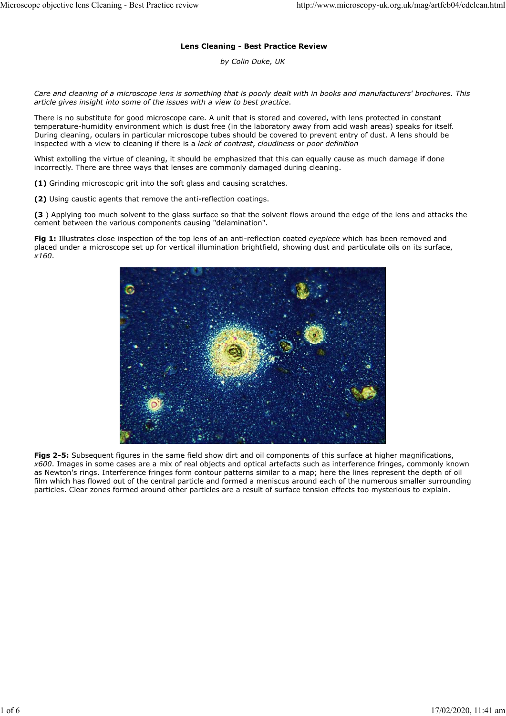### **Lens Cleaning - Best Practice Review**

*by Colin Duke, UK*

*Care and cleaning of a microscope lens is something that is poorly dealt with in books and manufacturers' brochures. This article gives insight into some of the issues with a view to best practice*.

There is no substitute for good microscope care. A unit that is stored and covered, with lens protected in constant temperature-humidity environment which is dust free (in the laboratory away from acid wash areas) speaks for itself. During cleaning, oculars in particular microscope tubes should be covered to prevent entry of dust. A lens should be inspected with a view to cleaning if there is a *lack of contrast*, *cloudiness* or *poor definition*

Whist extolling the virtue of cleaning, it should be emphasized that this can equally cause as much damage if done incorrectly. There are three ways that lenses are commonly damaged during cleaning.

**(1)** Grinding microscopic grit into the soft glass and causing scratches.

**(2)** Using caustic agents that remove the anti-reflection coatings.

**(3** ) Applying too much solvent to the glass surface so that the solvent flows around the edge of the lens and attacks the cement between the various components causing "delamination".

**Fig 1:** Illustrates close inspection of the top lens of an anti-reflection coated *eyepiece* which has been removed and placed under a microscope set up for vertical illumination brightfield, showing dust and particulate oils on its surface, *x160*.



**Figs 2-5:** Subsequent figures in the same field show dirt and oil components of this surface at higher magnifications, *x600*. Images in some cases are a mix of real objects and optical artefacts such as interference fringes, commonly known as Newton's rings. Interference fringes form contour patterns similar to a map; here the lines represent the depth of oil film which has flowed out of the central particle and formed a meniscus around each of the numerous smaller surrounding particles. Clear zones formed around other particles are a result of surface tension effects too mysterious to explain.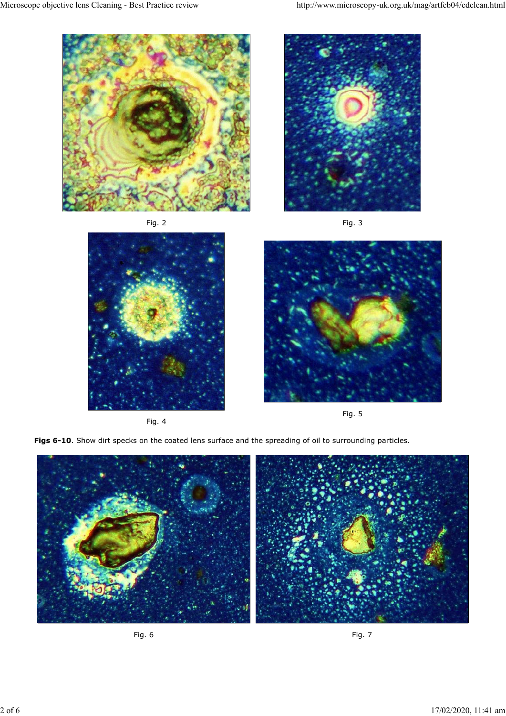





Fig. 4



Fig. 5

Figs 6-10. Show dirt specks on the coated lens surface and the spreading of oil to surrounding particles.



Fig. 6 Fig. 7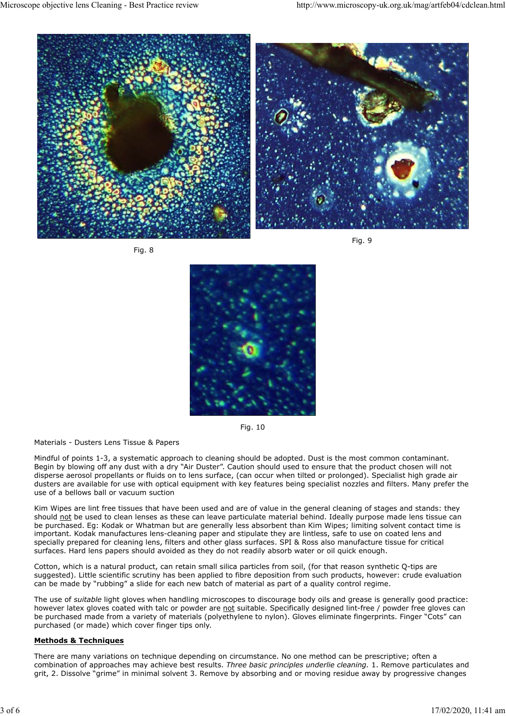



Fig. 9



Fig. 10

#### Materials - Dusters Lens Tissue & Papers

Mindful of points 1-3, a systematic approach to cleaning should be adopted. Dust is the most common contaminant. Begin by blowing off any dust with a dry "Air Duster". Caution should used to ensure that the product chosen will not disperse aerosol propellants or fluids on to lens surface, (can occur when tilted or prolonged). Specialist high grade air dusters are available for use with optical equipment with key features being specialist nozzles and filters. Many prefer the use of a bellows ball or vacuum suction

Kim Wipes are lint free tissues that have been used and are of value in the general cleaning of stages and stands: they should not be used to clean lenses as these can leave particulate material behind. Ideally purpose made lens tissue can be purchased. Eg: Kodak or Whatman but are generally less absorbent than Kim Wipes; limiting solvent contact time is important. Kodak manufactures lens-cleaning paper and stipulate they are lintless, safe to use on coated lens and specially prepared for cleaning lens, filters and other glass surfaces. SPI & Ross also manufacture tissue for critical surfaces. Hard lens papers should avoided as they do not readily absorb water or oil quick enough.

Cotton, which is a natural product, can retain small silica particles from soil, (for that reason synthetic Q-tips are suggested). Little scientific scrutiny has been applied to fibre deposition from such products, however: crude evaluation can be made by "rubbing" a slide for each new batch of material as part of a quality control regime.

The use of *suitable* light gloves when handling microscopes to discourage body oils and grease is generally good practice: however latex gloves coated with talc or powder are not suitable. Specifically designed lint-free / powder free gloves can be purchased made from a variety of materials (polyethylene to nylon). Gloves eliminate fingerprints. Finger "Cots" can purchased (or made) which cover finger tips only.

## **Methods & Techniques**

There are many variations on technique depending on circumstance. No one method can be prescriptive; often a combination of approaches may achieve best results. *Three basic principles underlie cleaning.* 1. Remove particulates and grit, 2. Dissolve "grime" in minimal solvent 3. Remove by absorbing and or moving residue away by progressive changes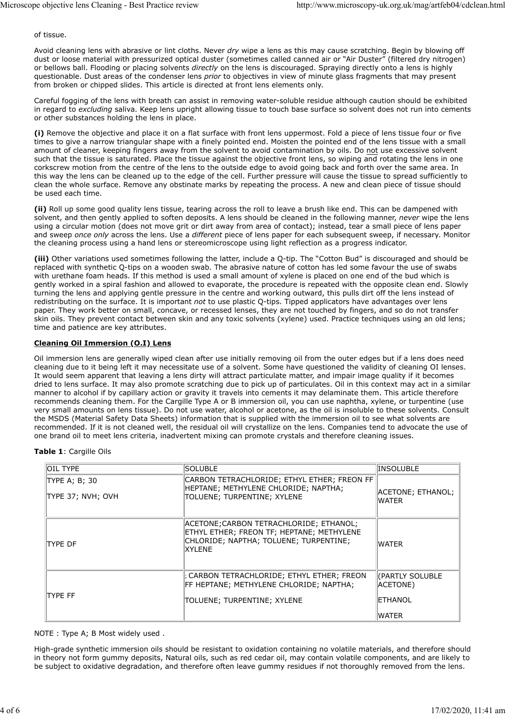of tissue.

Avoid cleaning lens with abrasive or lint cloths. Never *dry* wipe a lens as this may cause scratching. Begin by blowing off dust or loose material with pressurized optical duster (sometimes called canned air or "Air Duster" (filtered dry nitrogen) or bellows ball. Flooding or placing solvents *directly* on the lens is discouraged. Spraying directly onto a lens is highly questionable. Dust areas of the condenser lens *prior* to objectives in view of minute glass fragments that may present from broken or chipped slides. This article is directed at front lens elements only.

Careful fogging of the lens with breath can assist in removing water-soluble residue although caution should be exhibited in regard to *excluding* saliva. Keep lens upright allowing tissue to touch base surface so solvent does not run into cements or other substances holding the lens in place.

**(i)** Remove the objective and place it on a flat surface with front lens uppermost. Fold a piece of lens tissue four or five times to give a narrow triangular shape with a finely pointed end. Moisten the pointed end of the lens tissue with a small amount of cleaner, keeping fingers away from the solvent to avoid contamination by oils. Do not use excessive solvent such that the tissue is saturated. Place the tissue against the objective front lens, so wiping and rotating the lens in one corkscrew motion from the centre of the lens to the outside edge to avoid going back and forth over the same area. In this way the lens can be cleaned up to the edge of the cell. Further pressure will cause the tissue to spread sufficiently to clean the whole surface. Remove any obstinate marks by repeating the process. A new and clean piece of tissue should be used each time.

**(ii)** Roll up some good quality lens tissue, tearing across the roll to leave a brush like end. This can be dampened with solvent, and then gently applied to soften deposits. A lens should be cleaned in the following manner, *never* wipe the lens using a circular motion (does not move grit or dirt away from area of contact); instead, tear a small piece of lens paper and sweep *once only* across the lens. Use a *different* piece of lens paper for each subsequent sweep, if necessary. Monitor the cleaning process using a hand lens or stereomicroscope using light reflection as a progress indicator.

**(iii)** Other variations used sometimes following the latter, include a Q-tip. The "Cotton Bud" is discouraged and should be replaced with synthetic Q-tips on a wooden swab. The abrasive nature of cotton has led some favour the use of swabs with urethane foam heads. If this method is used a small amount of xylene is placed on one end of the bud which is gently worked in a spiral fashion and allowed to evaporate, the procedure is repeated with the opposite clean end. Slowly turning the lens and applying gentle pressure in the centre and working outward, this pulls dirt off the lens instead of redistributing on the surface. It is important *not* to use plastic Q-tips. Tipped applicators have advantages over lens paper. They work better on small, concave, or recessed lenses, they are not touched by fingers, and so do not transfer skin oils. They prevent contact between skin and any toxic solvents (xylene) used. Practice techniques using an old lens; time and patience are key attributes.

# **Cleaning Oil Immersion (O.I) Lens**

Oil immersion lens are generally wiped clean after use initially removing oil from the outer edges but if a lens does need cleaning due to it being left it may necessitate use of a solvent. Some have questioned the validity of cleaning OI lenses. It would seem apparent that leaving a lens dirty will attract particulate matter, and impair image quality if it becomes dried to lens surface. It may also promote scratching due to pick up of particulates. Oil in this context may act in a similar manner to alcohol if by capillary action or gravity it travels into cements it may delaminate them. This article therefore recommends cleaning them. For the Cargille Type A or B immersion oil, you can use naphtha, xylene, or turpentine (use very small amounts on lens tissue). Do not use water, alcohol or acetone, as the oil is insoluble to these solvents. Consult the MSDS (Material Safety Data Sheets) information that is supplied with the immersion oil to see what solvents are recommended. If it is not cleaned well, the residual oil will crystallize on the lens. Companies tend to advocate the use of one brand oil to meet lens criteria, inadvertent mixing can promote crystals and therefore cleaning issues.

## **Table 1**: Cargille Oils

| <b>OIL TYPE</b>                         | <b>SOLUBLE</b>                                                                                                                                  | <b>INSOLUBLE</b>                       |
|-----------------------------------------|-------------------------------------------------------------------------------------------------------------------------------------------------|----------------------------------------|
| $\ $ TYPE A; B; 30<br>TYPE 37; NVH; OVH | CARBON TETRACHLORIDE; ETHYL ETHER; FREON FF<br>HEPTANE; METHYLENE CHLORIDE; NAPTHA;<br>TOLUENE; TURPENTINE; XYLENE                              | ACETONE; ETHANOL;<br>WATER             |
| TYPE DF                                 | ACETONE; CARBON TETRACHLORIDE; ETHANOL;<br>ETHYL ETHER; FREON TF; HEPTANE; METHYLENE<br>CHLORIDE; NAPTHA; TOLUENE; TURPENTINE;<br><b>XYLENE</b> | WATER                                  |
| <b>TYPF FF</b>                          | : CARBON TETRACHLORIDE; ETHYL ETHER; FREON<br>FF HEPTANE; METHYLENE CHLORIDE; NAPTHA;<br>TOLUENE; TURPENTINE; XYLENE                            | (PARTLY SOLUBLE<br>ACETONE)<br>ETHANOL |
|                                         |                                                                                                                                                 | <b>WATER</b>                           |

NOTE : Type A; B Most widely used .

High-grade synthetic immersion oils should be resistant to oxidation containing no volatile materials, and therefore should in theory not form gummy deposits, Natural oils, such as red cedar oil, may contain volatile components, and are likely to be subject to oxidative degradation, and therefore often leave gummy residues if not thoroughly removed from the lens.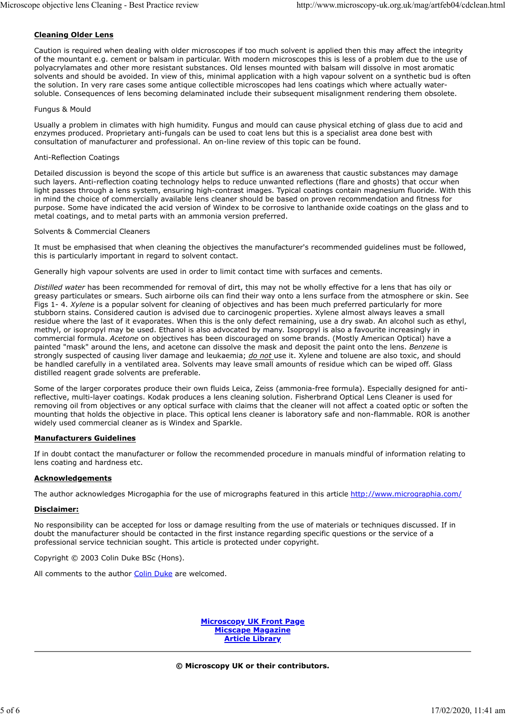## **Cleaning Older Lens**

Caution is required when dealing with older microscopes if too much solvent is applied then this may affect the integrity of the mountant e.g. cement or balsam in particular. With modern microscopes this is less of a problem due to the use of polyacrylamates and other more resistant substances. Old lenses mounted with balsam will dissolve in most aromatic solvents and should be avoided. In view of this, minimal application with a high vapour solvent on a synthetic bud is often the solution. In very rare cases some antique collectible microscopes had lens coatings which where actually watersoluble. Consequences of lens becoming delaminated include their subsequent misalignment rendering them obsolete.

#### Fungus & Mould

Usually a problem in climates with high humidity. Fungus and mould can cause physical etching of glass due to acid and enzymes produced. Proprietary anti-fungals can be used to coat lens but this is a specialist area done best with consultation of manufacturer and professional. An on-line review of this topic can be found.

### Anti-Reflection Coatings

Detailed discussion is beyond the scope of this article but suffice is an awareness that caustic substances may damage such layers. Anti-reflection coating technology helps to reduce unwanted reflections (flare and ghosts) that occur when light passes through a lens system, ensuring high-contrast images. Typical coatings contain magnesium fluoride. With this in mind the choice of commercially available lens cleaner should be based on proven recommendation and fitness for purpose. Some have indicated the acid version of Windex to be corrosive to lanthanide oxide coatings on the glass and to metal coatings, and to metal parts with an ammonia version preferred.

#### Solvents & Commercial Cleaners

It must be emphasised that when cleaning the objectives the manufacturer's recommended guidelines must be followed, this is particularly important in regard to solvent contact.

Generally high vapour solvents are used in order to limit contact time with surfaces and cements.

*Distilled water* has been recommended for removal of dirt, this may not be wholly effective for a lens that has oily or greasy particulates or smears. Such airborne oils can find their way onto a lens surface from the atmosphere or skin. See Figs 1- 4. *Xylene* is a popular solvent for cleaning of objectives and has been much preferred particularly for more stubborn stains. Considered caution is advised due to carcinogenic properties. Xylene almost always leaves a small residue where the last of it evaporates. When this is the only defect remaining, use a dry swab. An alcohol such as ethyl, methyl, or isopropyl may be used. Ethanol is also advocated by many. Isopropyl is also a favourite increasingly in commercial formula. *Acetone* on objectives has been discouraged on some brands. (Mostly American Optical) have a painted "mask" around the lens, and acetone can dissolve the mask and deposit the paint onto the lens. *Benzene* is strongly suspected of causing liver damage and leukaemia; *do not* use it. Xylene and toluene are also toxic, and should be handled carefully in a ventilated area. Solvents may leave small amounts of residue which can be wiped off. Glass distilled reagent grade solvents are preferable.

Some of the larger corporates produce their own fluids Leica, Zeiss (ammonia-free formula). Especially designed for antireflective, multi-layer coatings. Kodak produces a lens cleaning solution. Fisherbrand Optical Lens Cleaner is used for removing oil from objectives or any optical surface with claims that the cleaner will not affect a coated optic or soften the mounting that holds the objective in place. This optical lens cleaner is laboratory safe and non-flammable. ROR is another widely used commercial cleaner as is Windex and Sparkle.

## **Manufacturers Guidelines**

If in doubt contact the manufacturer or follow the recommended procedure in manuals mindful of information relating to lens coating and hardness etc.

#### **Acknowledgements**

The author acknowledges Microgaphia for the use of micrographs featured in this article http://www.micrographia.com/

#### **Disclaimer:**

No responsibility can be accepted for loss or damage resulting from the use of materials or techniques discussed. If in doubt the manufacturer should be contacted in the first instance regarding specific questions or the service of a professional service technician sought. This article is protected under copyright.

Copyright © 2003 Colin Duke BSc (Hons).

All comments to the author Colin Duke are welcomed.

**Microscopy UK Front Page Micscape Magazine Article Library**